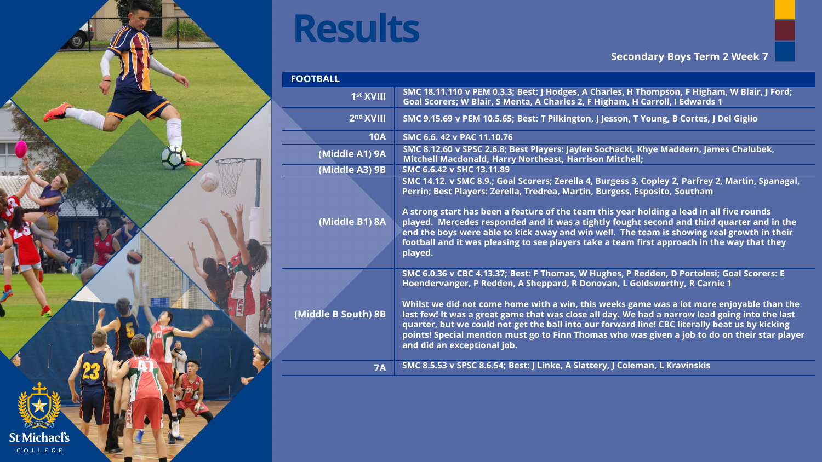

| <b>FOOTBALL</b>       |                                                                                                                                                                                                                                                                                                                                                                                                                               |
|-----------------------|-------------------------------------------------------------------------------------------------------------------------------------------------------------------------------------------------------------------------------------------------------------------------------------------------------------------------------------------------------------------------------------------------------------------------------|
| 1 <sup>st</sup> XVIII | SMC 18.11.110 v PEM 0.3.3; Best: J Hodges, A Charles, H Thompson, F Higham, W Blair, J Ford;<br>Goal Scorers; W Blair, S Menta, A Charles 2, F Higham, H Carroll, I Edwards 1                                                                                                                                                                                                                                                 |
| 2 <sup>nd</sup> XVIII | SMC 9.15.69 v PEM 10.5.65; Best: T Pilkington, J Jesson, T Young, B Cortes, J Del Giglio                                                                                                                                                                                                                                                                                                                                      |
| <b>10A</b>            | SMC 6.6, 42 v PAC 11.10.76                                                                                                                                                                                                                                                                                                                                                                                                    |
| (Middle A1) 9A        | SMC 8.12.60 v SPSC 2.6.8; Best Players: Jaylen Sochacki, Khye Maddern, James Chalubek,<br><b>Mitchell Macdonald, Harry Northeast, Harrison Mitchell;</b>                                                                                                                                                                                                                                                                      |
| (Middle A3) 9B        | SMC 6.6.42 v SHC 13.11.89                                                                                                                                                                                                                                                                                                                                                                                                     |
|                       | SMC 14.12. v SMC 8.9.; Goal Scorers; Zerella 4, Burgess 3, Copley 2, Parfrey 2, Martin, Spanagal,<br>Perrin; Best Players: Zerella, Tredrea, Martin, Burgess, Esposito, Southam                                                                                                                                                                                                                                               |
| (Middle B1) 8A        | A strong start has been a feature of the team this year holding a lead in all five rounds<br>played. Mercedes responded and it was a tightly fought second and third quarter and in the<br>end the boys were able to kick away and win well. The team is showing real growth in their<br>football and it was pleasing to see players take a team first approach in the way that they<br>played.                               |
|                       | SMC 6.0.36 v CBC 4.13.37; Best: F Thomas, W Hughes, P Redden, D Portolesi; Goal Scorers: E<br>Hoendervanger, P Redden, A Sheppard, R Donovan, L Goldsworthy, R Carnie 1                                                                                                                                                                                                                                                       |
| (Middle B South) 8B   | Whilst we did not come home with a win, this weeks game was a lot more enjoyable than the<br>last few! It was a great game that was close all day. We had a narrow lead going into the last<br>quarter, but we could not get the ball into our forward line! CBC literally beat us by kicking<br>points! Special mention must go to Finn Thomas who was given a job to do on their star player<br>and did an exceptional job. |
| <b>7A</b>             | SMC 8.5.53 v SPSC 8.6.54; Best: J Linke, A Slattery, J Coleman, L Kravinskis                                                                                                                                                                                                                                                                                                                                                  |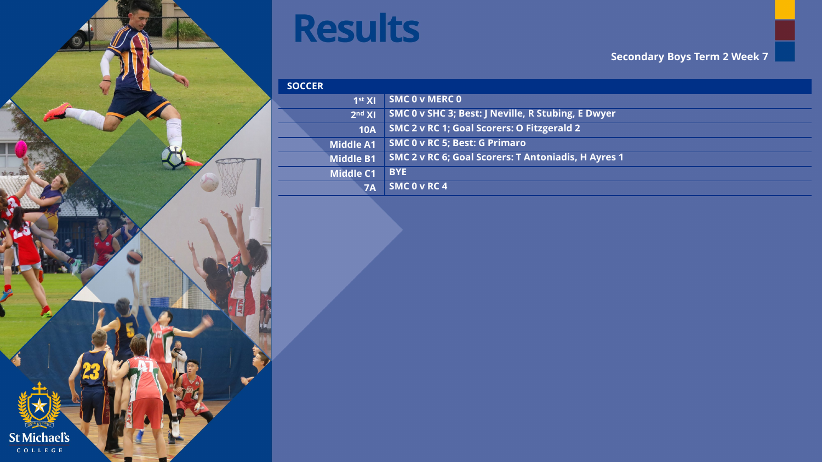

 $S$ 

| <b>DCCER</b>       |                                                     |
|--------------------|-----------------------------------------------------|
| 1 <sup>st</sup> XI | <b>SMC 0 v MERC 0</b>                               |
| 2 <sup>nd</sup> XI | SMC 0 v SHC 3; Best: J Neville, R Stubing, E Dwyer  |
| <b>10A</b>         | SMC 2 v RC 1; Goal Scorers: O Fitzgerald 2          |
| Middle A1          | SMC 0 v RC 5; Best: G Primaro                       |
| <b>Middle B1</b>   | SMC 2 v RC 6; Goal Scorers: T Antoniadis, H Ayres 1 |
| <b>Middle C1</b>   | <b>BYE</b>                                          |
| <b>7A</b>          | SMC 0 v RC 4                                        |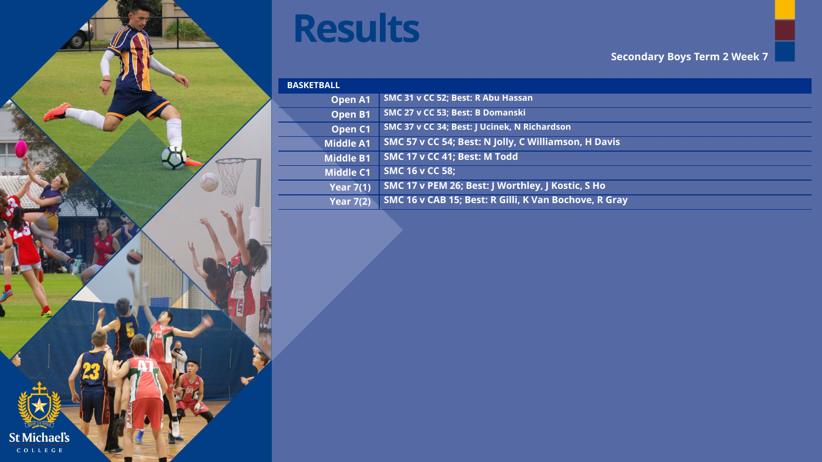

| <b>BASKETBALL</b>  |                                                       |  |
|--------------------|-------------------------------------------------------|--|
| <b>Open A1</b>     | SMC 31 v CC 52; Best: R Abu Hassan                    |  |
| Open B1            | SMC 27 v CC 53; Best: B Domanski                      |  |
| Open <sub>C1</sub> | SMC 37 v CC 34; Best: J Ucinek, N Richardson          |  |
| <b>Middle A1</b>   | SMC 57 v CC 54; Best: N Jolly, C Williamson, H Davis  |  |
| <b>Middle B1</b>   | SMC 17 v CC 41; Best: M Todd                          |  |
| <b>Middle C1</b>   | <b>SMC 16 v CC 58;</b>                                |  |
| <b>Year 7(1)</b>   | SMC 17 v PEM 26; Best: J Worthley, J Kostic, S Ho     |  |
| <b>Year 7(2)</b>   | SMC 16 v CAB 15; Best: R Gilli, K Van Bochove, R Gray |  |